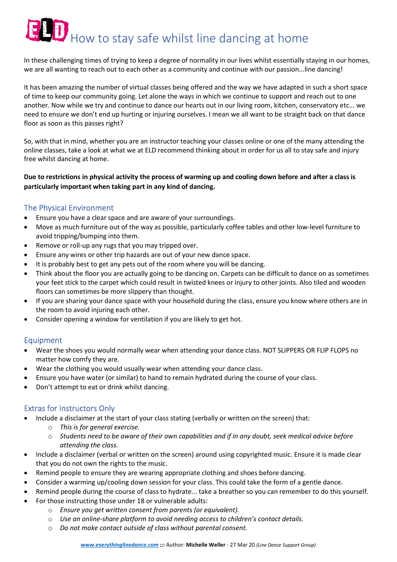# $\mathbf{H}$  How to stay safe whilst line dancing at home

In these challenging times of trying to keep a degree of normality in our lives whilst essentially staying in our homes, we are all wanting to reach out to each other as a community and continue with our passion...line dancing!

It has been amazing the number of virtual classes being offered and the way we have adapted in such a short space of time to keep our community going. Let alone the ways in which we continue to support and reach out to one another. Now while we try and continue to dance our hearts out in our living room, kitchen, conservatory etc... we need to ensure we don't end up hurting or injuring ourselves. I mean we all want to be straight back on that dance floor as soon as this passes right?

So, with that in mind, whether you are an instructor teaching your classes online or one of the many attending the online classes, take a look at what we at ELD recommend thinking about in order for us all to stay safe and injury free whilst dancing at home.

#### Due to restrictions in physical activity the process of warming up and cooling down before and after a class is particularly important when taking part in any kind of dancing.

## The Physical Environment

- Ensure you have a clear space and are aware of your surroundings.
- Move as much furniture out of the way as possible, particularly coffee tables and other low-level furniture to avoid tripping/bumping into them.
- Remove or roll-up any rugs that you may tripped over.
- Ensure any wires or other trip hazards are out of your new dance space.
- It is probably best to get any pets out of the room where you will be dancing.
- Think about the floor you are actually going to be dancing on. Carpets can be difficult to dance on as sometimes your feet stick to the carpet which could result in twisted knees or injury to other joints. Also tiled and wooden floors can sometimes be more slippery than thought.
- If you are sharing your dance space with your household during the class, ensure you know where others are in the room to avoid injuring each other.
- Consider opening a window for ventilation if you are likely to get hot.

#### Equipment

- Wear the shoes you would normally wear when attending your dance class. NOT SLIPPERS OR FLIP FLOPS no matter how comfy they are.
- Wear the clothing you would usually wear when attending your dance class.
- Ensure you have water (or similar) to hand to remain hydrated during the course of your class.
- Don't attempt to eat or drink whilst dancing.

### Extras for Instructors Only

- Include a disclaimer at the start of your class stating (verbally or written on the screen) that:
	- o This is for general exercise.
	- $\circ$  Students need to be aware of their own capabilities and if in any doubt, seek medical advice before attending the class.
- Include a disclaimer (verbal or written on the screen) around using copyrighted music. Ensure it is made clear that you do not own the rights to the music.
- Remind people to ensure they are wearing appropriate clothing and shoes before dancing.
- Consider a warming up/cooling down session for your class. This could take the form of a gentle dance.
- Remind people during the course of class to hydrate... take a breather so you can remember to do this yourself.
- For those instructing those under 18 or vulnerable adults:
	- o Ensure you get written consent from parents (or equivalent).
	- o Use an online-share platform to avoid needing access to children's contact details.
	- o Do not make contact outside of class without parental consent.